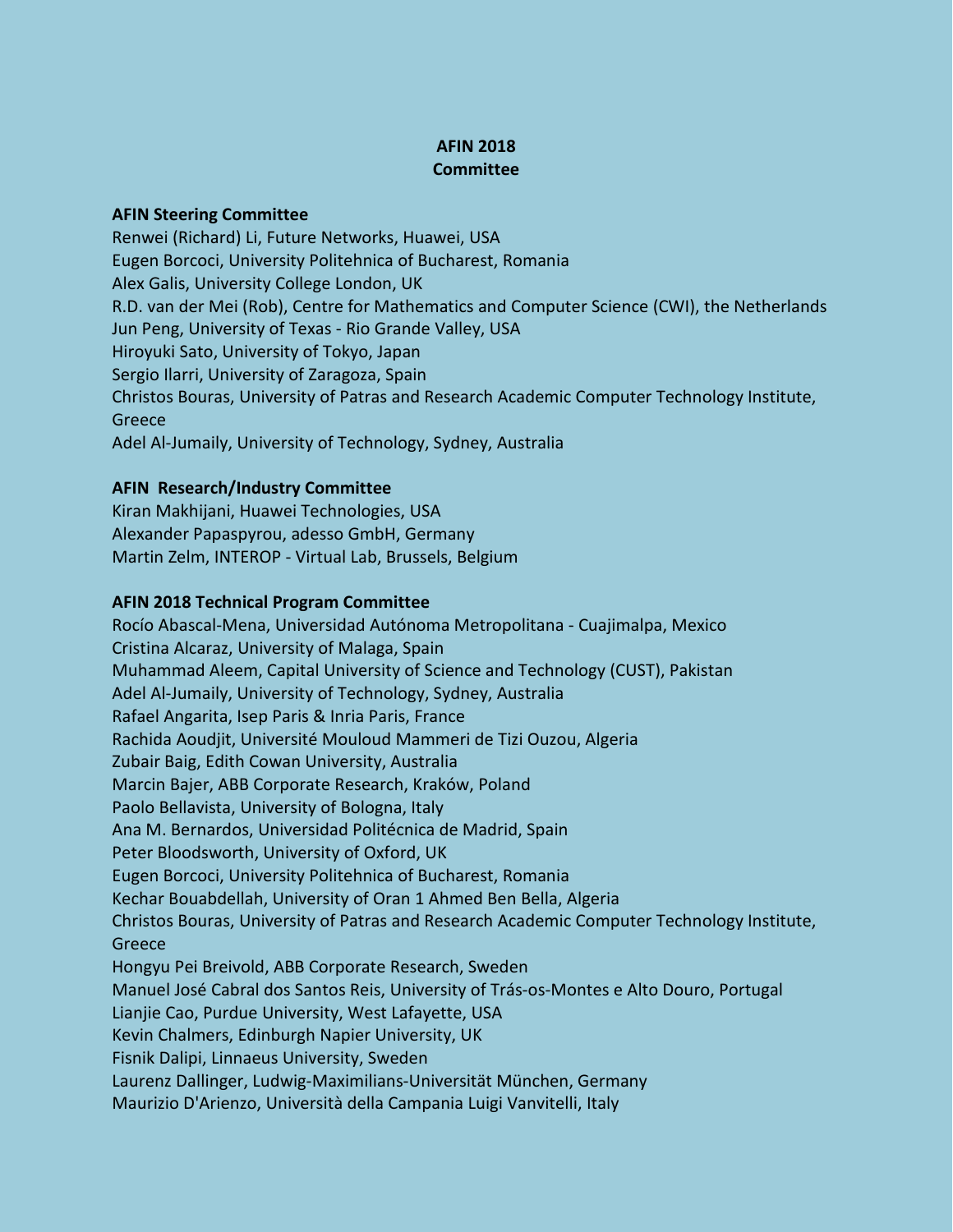## **AFIN 2018 Committee**

## **AFIN Steering Committee**

Renwei (Richard) Li, Future Networks, Huawei, USA Eugen Borcoci, University Politehnica of Bucharest, Romania Alex Galis, University College London, UK R.D. van der Mei (Rob), Centre for Mathematics and Computer Science (CWI), the Netherlands Jun Peng, University of Texas - Rio Grande Valley, USA Hiroyuki Sato, University of Tokyo, Japan Sergio Ilarri, University of Zaragoza, Spain Christos Bouras, University of Patras and Research Academic Computer Technology Institute, Greece Adel Al-Jumaily, University of Technology, Sydney, Australia

## **AFIN Research/Industry Committee**

Kiran Makhijani, Huawei Technologies, USA Alexander Papaspyrou, adesso GmbH, Germany Martin Zelm, INTEROP - Virtual Lab, Brussels, Belgium

## **AFIN 2018 Technical Program Committee**

Rocío Abascal-Mena, Universidad Autónoma Metropolitana - Cuajimalpa, Mexico Cristina Alcaraz, University of Malaga, Spain Muhammad Aleem, Capital University of Science and Technology (CUST), Pakistan Adel Al-Jumaily, University of Technology, Sydney, Australia Rafael Angarita, Isep Paris & Inria Paris, France Rachida Aoudjit, Université Mouloud Mammeri de Tizi Ouzou, Algeria Zubair Baig, Edith Cowan University, Australia Marcin Bajer, ABB Corporate Research, Kraków, Poland Paolo Bellavista, University of Bologna, Italy Ana M. Bernardos, Universidad Politécnica de Madrid, Spain Peter Bloodsworth, University of Oxford, UK Eugen Borcoci, University Politehnica of Bucharest, Romania Kechar Bouabdellah, University of Oran 1 Ahmed Ben Bella, Algeria Christos Bouras, University of Patras and Research Academic Computer Technology Institute, Greece Hongyu Pei Breivold, ABB Corporate Research, Sweden Manuel José Cabral dos Santos Reis, University of Trás-os-Montes e Alto Douro, Portugal Lianjie Cao, Purdue University, West Lafayette, USA Kevin Chalmers, Edinburgh Napier University, UK Fisnik Dalipi, Linnaeus University, Sweden Laurenz Dallinger, Ludwig*-*Maximilians-Universität München, Germany Maurizio D'Arienzo, Università della Campania Luigi Vanvitelli, Italy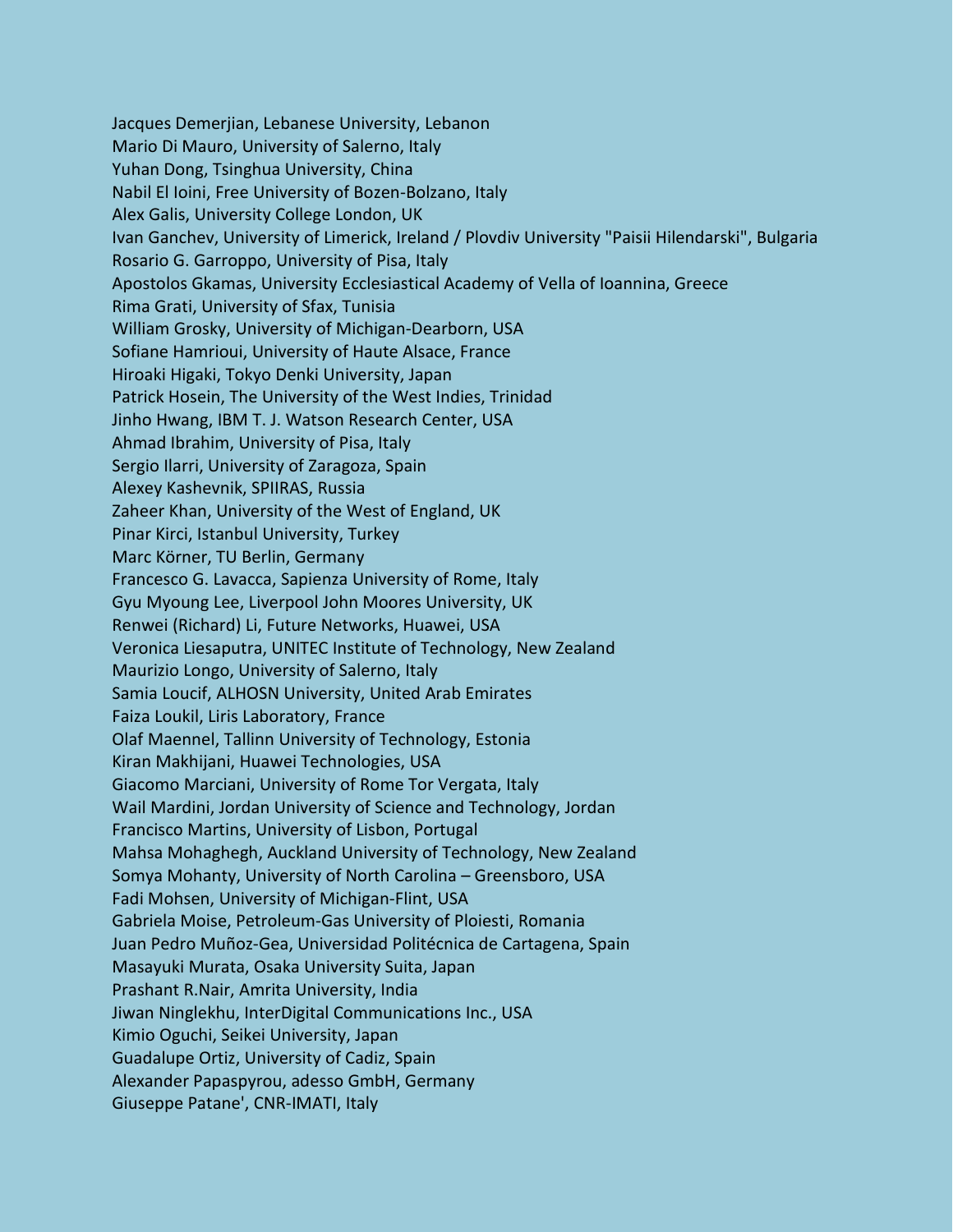Jacques Demerjian, Lebanese University, Lebanon Mario Di Mauro, University of Salerno, Italy Yuhan Dong, Tsinghua University, China Nabil El Ioini, Free University of Bozen-Bolzano, Italy Alex Galis, University College London, UK Ivan Ganchev, University of Limerick, Ireland / Plovdiv University "Paisii Hilendarski", Bulgaria Rosario G. Garroppo, University of Pisa, Italy Apostolos Gkamas, University Ecclesiastical Academy of Vella of Ioannina, Greece Rima Grati, University of Sfax, Tunisia William Grosky, University of Michigan-Dearborn, USA Sofiane Hamrioui, University of Haute Alsace, France Hiroaki Higaki, Tokyo Denki University, Japan Patrick Hosein, The University of the West Indies, Trinidad Jinho Hwang, IBM T. J. Watson Research Center, USA Ahmad Ibrahim, University of Pisa, Italy Sergio Ilarri, University of Zaragoza, Spain Alexey Kashevnik, SPIIRAS, Russia Zaheer Khan, University of the West of England, UK Pinar Kirci, Istanbul University, Turkey Marc Körner, TU Berlin, Germany Francesco G. Lavacca, Sapienza University of Rome, Italy Gyu Myoung Lee, Liverpool John Moores University, UK Renwei (Richard) Li, Future Networks, Huawei, USA Veronica Liesaputra, UNITEC Institute of Technology, New Zealand Maurizio Longo, University of Salerno, Italy Samia Loucif, ALHOSN University, United Arab Emirates Faiza Loukil, Liris Laboratory, France Olaf Maennel, Tallinn University of Technology, Estonia Kiran Makhijani, Huawei Technologies, USA Giacomo Marciani, University of Rome Tor Vergata, Italy Wail Mardini, Jordan University of Science and Technology, Jordan Francisco Martins, University of Lisbon, Portugal Mahsa Mohaghegh, Auckland University of Technology, New Zealand Somya Mohanty, University of North Carolina – Greensboro, USA Fadi Mohsen, University of Michigan-Flint, USA Gabriela Moise, Petroleum-Gas University of Ploiesti, Romania Juan Pedro Muñoz-Gea, Universidad Politécnica de Cartagena, Spain Masayuki Murata, Osaka University Suita, Japan Prashant R.Nair, Amrita University, India Jiwan Ninglekhu, InterDigital Communications Inc., USA Kimio Oguchi, Seikei University, Japan Guadalupe Ortiz, University of Cadiz, Spain Alexander Papaspyrou, adesso GmbH, Germany Giuseppe Patane', CNR-IMATI, Italy